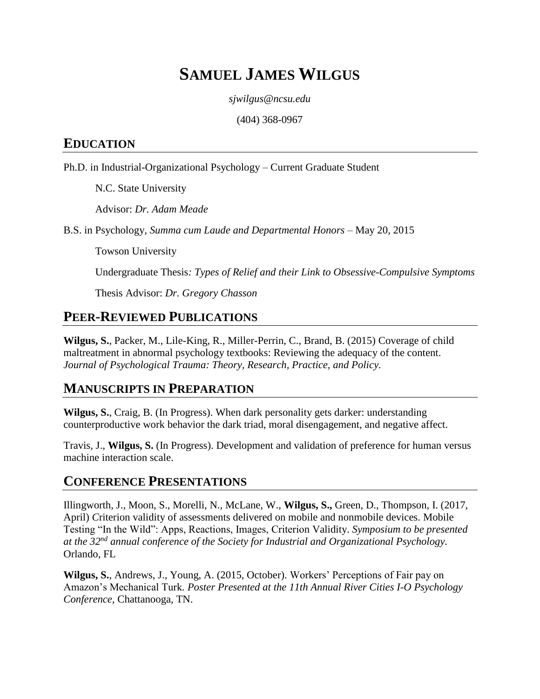# **SAMUEL JAMES WILGUS**

*sjwilgus@ncsu.edu*

(404) 368-0967

### **EDUCATION**

Ph.D. in Industrial-Organizational Psychology – Current Graduate Student

N.C. State University

Advisor: *Dr. Adam Meade*

B.S. in Psychology, *Summa cum Laude and Departmental Honors* – May 20, 2015

Towson University

Undergraduate Thesis*: Types of Relief and their Link to Obsessive-Compulsive Symptoms*

Thesis Advisor: *Dr. Gregory Chasson*

## **PEER-REVIEWED PUBLICATIONS**

**Wilgus, S.**, Packer, M., Lile-King, R., Miller-Perrin, C., Brand, B. (2015) Coverage of child maltreatment in abnormal psychology textbooks: Reviewing the adequacy of the content. *Journal of Psychological Trauma: Theory, Research, Practice, and Policy.*

## **MANUSCRIPTS IN PREPARATION**

**Wilgus, S.**, Craig, B. (In Progress). When dark personality gets darker: understanding counterproductive work behavior the dark triad, moral disengagement, and negative affect.

Travis, J., **Wilgus, S.** (In Progress). Development and validation of preference for human versus machine interaction scale.

### **CONFERENCE PRESENTATIONS**

Illingworth, J., Moon, S., Morelli, N., McLane, W., **Wilgus, S.,** Green, D., Thompson, I. (2017, April) *C*riterion validity of assessments delivered on mobile and nonmobile devices. Mobile Testing "In the Wild": Apps, Reactions, Images, Criterion Validity. *Symposium to be presented at the 32nd annual conference of the Society for Industrial and Organizational Psychology.*  Orlando, FL

**Wilgus, S.**, Andrews, J., Young, A. (2015, October). Workers' Perceptions of Fair pay on Amazon's Mechanical Turk*. Poster Presented at the 11th Annual River Cities I-O Psychology Conference,* Chattanooga, TN.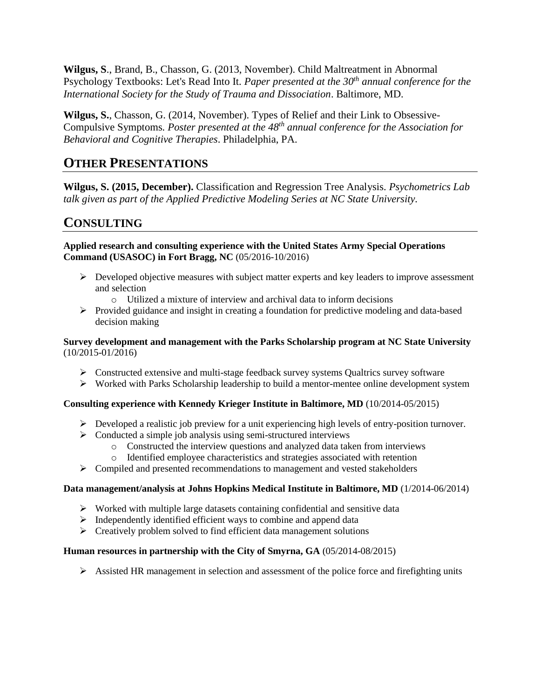**Wilgus, S**., Brand, B., Chasson, G. (2013, November). Child Maltreatment in Abnormal Psychology Textbooks: Let's Read Into It. *Paper presented at the 30th annual conference for the International Society for the Study of Trauma and Dissociation*. Baltimore, MD.

**Wilgus, S.**, Chasson, G. (2014, November). Types of Relief and their Link to Obsessive-Compulsive Symptoms*. Poster presented at the 48th annual conference for the Association for Behavioral and Cognitive Therapies*. Philadelphia, PA.

### **OTHER PRESENTATIONS**

**Wilgus, S. (2015, December).** Classification and Regression Tree Analysis. *Psychometrics Lab talk given as part of the Applied Predictive Modeling Series at NC State University.*

# **CONSULTING**

**Applied research and consulting experience with the United States Army Special Operations Command (USASOC) in Fort Bragg, NC** (05/2016-10/2016)

- $\triangleright$  Developed objective measures with subject matter experts and key leaders to improve assessment and selection
	- o Utilized a mixture of interview and archival data to inform decisions
- Provided guidance and insight in creating a foundation for predictive modeling and data-based decision making

**Survey development and management with the Parks Scholarship program at NC State University** (10/2015-01/2016)

- $\triangleright$  Constructed extensive and multi-stage feedback survey systems Qualtrics survey software
- Worked with Parks Scholarship leadership to build a mentor-mentee online development system

#### **Consulting experience with Kennedy Krieger Institute in Baltimore, MD** (10/2014-05/2015)

- $\triangleright$  Developed a realistic job preview for a unit experiencing high levels of entry-position turnover.
- $\triangleright$  Conducted a simple job analysis using semi-structured interviews
	- o Constructed the interview questions and analyzed data taken from interviews
	- o Identified employee characteristics and strategies associated with retention
- $\triangleright$  Compiled and presented recommendations to management and vested stakeholders

#### **Data management/analysis at Johns Hopkins Medical Institute in Baltimore, MD** (1/2014-06/2014)

- $\triangleright$  Worked with multiple large datasets containing confidential and sensitive data
- $\triangleright$  Independently identified efficient ways to combine and append data
- $\triangleright$  Creatively problem solved to find efficient data management solutions

#### **Human resources in partnership with the City of Smyrna, GA** (05/2014-08/2015)

 $\triangleright$  Assisted HR management in selection and assessment of the police force and firefighting units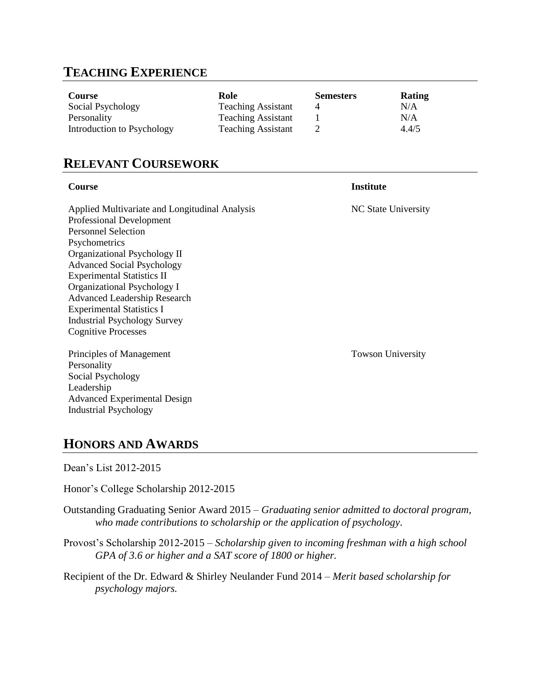# **TEACHING EXPERIENCE**

| Course                     | Role                      | <b>Semesters</b> | Rating |
|----------------------------|---------------------------|------------------|--------|
| Social Psychology          | <b>Teaching Assistant</b> |                  | N/A    |
| Personality                | <b>Teaching Assistant</b> |                  | N/A    |
| Introduction to Psychology | <b>Teaching Assistant</b> |                  | 4.4/5  |

# **RELEVANT COURSEWORK**

| Course                                                                                                                                                                                                                                                                                                                                                                                                             | <b>Institute</b>         |
|--------------------------------------------------------------------------------------------------------------------------------------------------------------------------------------------------------------------------------------------------------------------------------------------------------------------------------------------------------------------------------------------------------------------|--------------------------|
| Applied Multivariate and Longitudinal Analysis<br>Professional Development<br><b>Personnel Selection</b><br>Psychometrics<br>Organizational Psychology II<br><b>Advanced Social Psychology</b><br><b>Experimental Statistics II</b><br>Organizational Psychology I<br><b>Advanced Leadership Research</b><br><b>Experimental Statistics I</b><br><b>Industrial Psychology Survey</b><br><b>Cognitive Processes</b> | NC State University      |
| Principles of Management<br>Personality<br>Social Psychology<br>Leadership<br><b>Advanced Experimental Design</b><br><b>Industrial Psychology</b>                                                                                                                                                                                                                                                                  | <b>Towson University</b> |

## **HONORS AND AWARDS**

Dean's List 2012-2015

Honor's College Scholarship 2012-2015

Outstanding Graduating Senior Award 2015 – *Graduating senior admitted to doctoral program, who made contributions to scholarship or the application of psychology.*

Provost's Scholarship 2012-2015 – *Scholarship given to incoming freshman with a high school GPA of 3.6 or higher and a SAT score of 1800 or higher.*

Recipient of the Dr. Edward & Shirley Neulander Fund 2014 – *Merit based scholarship for psychology majors.*